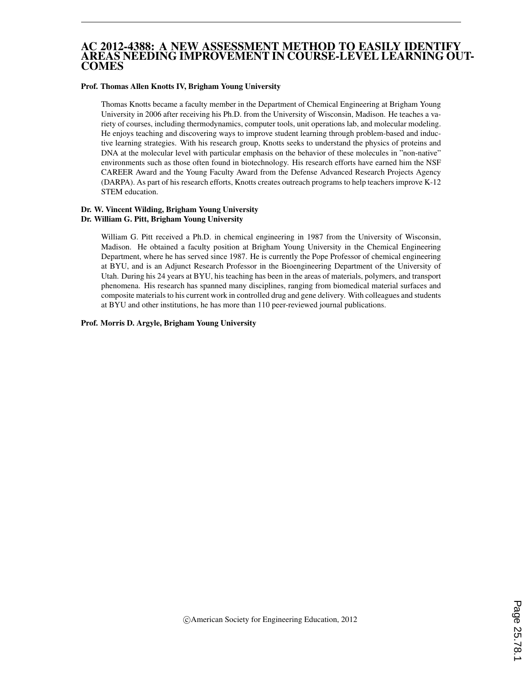### AC 2012-4388: A NEW ASSESSMENT METHOD TO EASILY IDENTIFY AREAS NEEDING IMPROVEMENT IN COURSE-LEVEL LEARNING OUT-**COMES**

#### Prof. Thomas Allen Knotts IV, Brigham Young University

Thomas Knotts became a faculty member in the Department of Chemical Engineering at Brigham Young University in 2006 after receiving his Ph.D. from the University of Wisconsin, Madison. He teaches a variety of courses, including thermodynamics, computer tools, unit operations lab, and molecular modeling. He enjoys teaching and discovering ways to improve student learning through problem-based and inductive learning strategies. With his research group, Knotts seeks to understand the physics of proteins and DNA at the molecular level with particular emphasis on the behavior of these molecules in "non-native" environments such as those often found in biotechnology. His research efforts have earned him the NSF CAREER Award and the Young Faculty Award from the Defense Advanced Research Projects Agency (DARPA). As part of his research efforts, Knotts creates outreach programs to help teachers improve K-12 STEM education.

#### Dr. W. Vincent Wilding, Brigham Young University Dr. William G. Pitt, Brigham Young University

William G. Pitt received a Ph.D. in chemical engineering in 1987 from the University of Wisconsin, Madison. He obtained a faculty position at Brigham Young University in the Chemical Engineering Department, where he has served since 1987. He is currently the Pope Professor of chemical engineering at BYU, and is an Adjunct Research Professor in the Bioengineering Department of the University of Utah. During his 24 years at BYU, his teaching has been in the areas of materials, polymers, and transport phenomena. His research has spanned many disciplines, ranging from biomedical material surfaces and composite materials to his current work in controlled drug and gene delivery. With colleagues and students at BYU and other institutions, he has more than 110 peer-reviewed journal publications.

Prof. Morris D. Argyle, Brigham Young University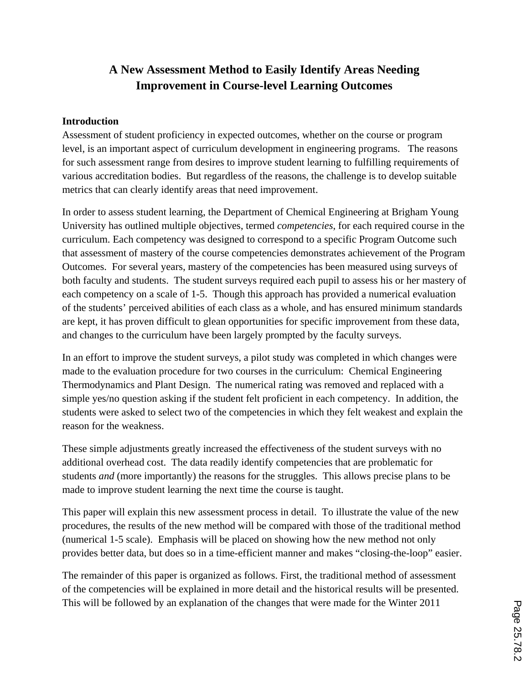# **A New Assessment Method to Easily Identify Areas Needing Improvement in Course-level Learning Outcomes**

### **Introduction**

Assessment of student proficiency in expected outcomes, whether on the course or program level, is an important aspect of curriculum development in engineering programs. The reasons for such assessment range from desires to improve student learning to fulfilling requirements of various accreditation bodies. But regardless of the reasons, the challenge is to develop suitable metrics that can clearly identify areas that need improvement.

In order to assess student learning, the Department of Chemical Engineering at Brigham Young University has outlined multiple objectives, termed *competencies*, for each required course in the curriculum. Each competency was designed to correspond to a specific Program Outcome such that assessment of mastery of the course competencies demonstrates achievement of the Program Outcomes. For several years, mastery of the competencies has been measured using surveys of both faculty and students. The student surveys required each pupil to assess his or her mastery of each competency on a scale of 1-5. Though this approach has provided a numerical evaluation of the students' perceived abilities of each class as a whole, and has ensured minimum standards are kept, it has proven difficult to glean opportunities for specific improvement from these data, and changes to the curriculum have been largely prompted by the faculty surveys.

In an effort to improve the student surveys, a pilot study was completed in which changes were made to the evaluation procedure for two courses in the curriculum: Chemical Engineering Thermodynamics and Plant Design. The numerical rating was removed and replaced with a simple yes/no question asking if the student felt proficient in each competency. In addition, the students were asked to select two of the competencies in which they felt weakest and explain the reason for the weakness.

These simple adjustments greatly increased the effectiveness of the student surveys with no additional overhead cost. The data readily identify competencies that are problematic for students *and* (more importantly) the reasons for the struggles. This allows precise plans to be made to improve student learning the next time the course is taught.

This paper will explain this new assessment process in detail. To illustrate the value of the new procedures, the results of the new method will be compared with those of the traditional method (numerical 1-5 scale). Emphasis will be placed on showing how the new method not only provides better data, but does so in a time-efficient manner and makes "closing-the-loop" easier.

The remainder of this paper is organized as follows. First, the traditional method of assessment of the competencies will be explained in more detail and the historical results will be presented. This will be followed by an explanation of the changes that were made for the Winter 2011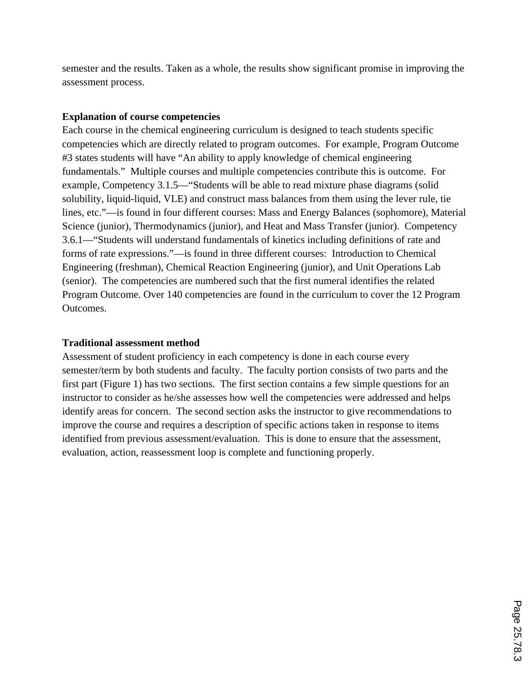semester and the results. Taken as a whole, the results show significant promise in improving the assessment process.

### **Explanation of course competencies**

Each course in the chemical engineering curriculum is designed to teach students specific competencies which are directly related to program outcomes. For example, Program Outcome #3 states students will have "An ability to apply knowledge of chemical engineering fundamentals." Multiple courses and multiple competencies contribute this is outcome. For example, Competency 3.1.5—"Students will be able to read mixture phase diagrams (solid solubility, liquid-liquid, VLE) and construct mass balances from them using the lever rule, tie lines, etc."—is found in four different courses: Mass and Energy Balances (sophomore), Material Science (junior), Thermodynamics (junior), and Heat and Mass Transfer (junior). Competency 3.6.1—"Students will understand fundamentals of kinetics including definitions of rate and forms of rate expressions."—is found in three different courses: Introduction to Chemical Engineering (freshman), Chemical Reaction Engineering (junior), and Unit Operations Lab (senior). The competencies are numbered such that the first numeral identifies the related Program Outcome. Over 140 competencies are found in the curriculum to cover the 12 Program Outcomes.

### **Traditional assessment method**

Assessment of student proficiency in each competency is done in each course every semester/term by both students and faculty. The faculty portion consists of two parts and the first part (Figure 1) has two sections. The first section contains a few simple questions for an instructor to consider as he/she assesses how well the competencies were addressed and helps identify areas for concern. The second section asks the instructor to give recommendations to improve the course and requires a description of specific actions taken in response to items identified from previous assessment/evaluation. This is done to ensure that the assessment, evaluation, action, reassessment loop is complete and functioning properly.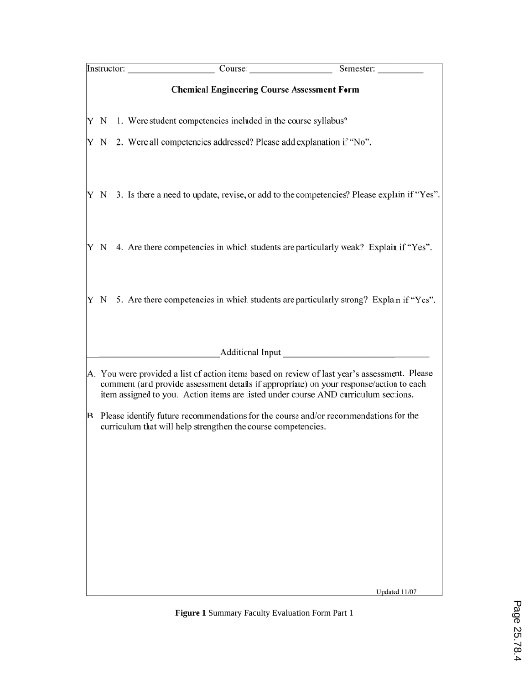|   |  |  | Course.<br>Instructor:                                                                                                                                                                                                                                                          | Semester:     |
|---|--|--|---------------------------------------------------------------------------------------------------------------------------------------------------------------------------------------------------------------------------------------------------------------------------------|---------------|
|   |  |  | <b>Chemical Engineering Course Assessment Form</b>                                                                                                                                                                                                                              |               |
|   |  |  | $Y \ N$ 1. Were student competencies included in the course syllabus?                                                                                                                                                                                                           |               |
| Y |  |  | N 2. Were all competencies addressed? Please add explanation if "No".                                                                                                                                                                                                           |               |
|   |  |  | Y N 3. Is there a need to update, revise, or add to the competencies? Please explain if "Yes".                                                                                                                                                                                  |               |
|   |  |  | $Y \ N$ 4. Are there competencies in which students are particularly weak? Explain if "Yes".                                                                                                                                                                                    |               |
|   |  |  | $Y \ N$ 5. Are there competencies in which students are particularly strong? Explain if "Yes".                                                                                                                                                                                  |               |
|   |  |  |                                                                                                                                                                                                                                                                                 |               |
|   |  |  | A. You were provided a list of action items based on review of last year's assessment. Please<br>comment (and provide assessment details if appropriate) on your response/action to each<br>item assigned to you. Action items are listed under course AND curriculum sections. |               |
|   |  |  | B. Please identify future recommendations for the course and/or recommendations for the<br>curriculum that will help strengthen the course competencies.                                                                                                                        |               |
|   |  |  |                                                                                                                                                                                                                                                                                 |               |
|   |  |  |                                                                                                                                                                                                                                                                                 |               |
|   |  |  |                                                                                                                                                                                                                                                                                 |               |
|   |  |  |                                                                                                                                                                                                                                                                                 |               |
|   |  |  |                                                                                                                                                                                                                                                                                 | Updated 11/07 |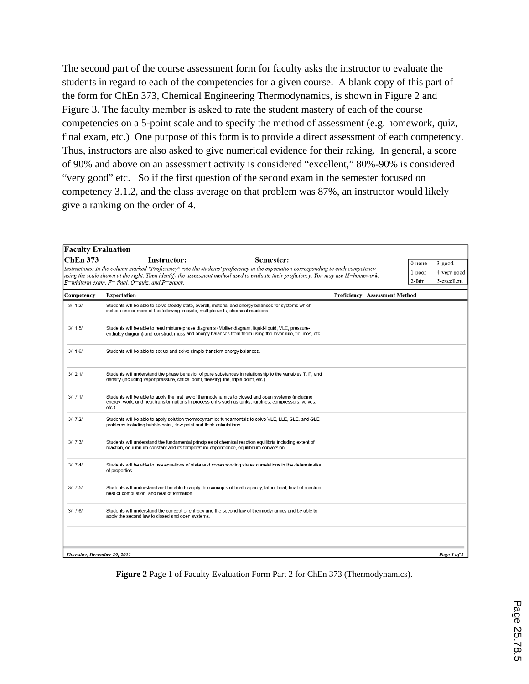The second part of the course assessment form for faculty asks the instructor to evaluate the students in regard to each of the competencies for a given course. A blank copy of this part of the form for ChEn 373, Chemical Engineering Thermodynamics, is shown in Figure 2 and Figure 3. The faculty member is asked to rate the student mastery of each of the course competencies on a 5-point scale and to specify the method of assessment (e.g. homework, quiz, final exam, etc.) One purpose of this form is to provide a direct assessment of each competency. Thus, instructors are also asked to give numerical evidence for their raking. In general, a score of 90% and above on an assessment activity is considered "excellent," 80%-90% is considered "very good" etc. So if the first question of the second exam in the semester focused on competency 3.1.2, and the class average on that problem was 87%, an instructor would likely give a ranking on the order of 4.

|            | $E$ =midterm exam, $F$ = final, $Q$ =quiz, and $P$ =paper.                                                                                                                                                                 |                                      | 2-fair | 5-excellent |
|------------|----------------------------------------------------------------------------------------------------------------------------------------------------------------------------------------------------------------------------|--------------------------------------|--------|-------------|
| Competency | <b>Expectation</b>                                                                                                                                                                                                         | <b>Proficiency Assessment Method</b> |        |             |
| 3/1.2/     | Students will be able to solve steady-state, overall, material and energy balances for systems which<br>include one or more of the following: recycle, multiple units, chemical reactions.                                 |                                      |        |             |
| 3/1.5/     | Students will be able to read mixture phase diagrams (Mollier diagram, liquid-liquid, VLE, pressure-<br>enthalpy diagram) and construct mass and energy balances from them using the lever rule, tie lines, etc.           |                                      |        |             |
| 3/1.6/     | Students will be able to set up and solve simple transient energy balances.                                                                                                                                                |                                      |        |             |
| 3/2.1/     | Students will understand the phase behavior of pure substances in relationship to the variables T, P, and<br>density (including vapor pressure, critical point, freezing line, triple point, etc.)                         |                                      |        |             |
| 3/7.1/     | Students will be able to apply the first law of thermodynamics to closed and open systems (including<br>energy, work, and heat transformations in process units such as tanks, turbines, compressors, valves,<br>$etc.$ ). |                                      |        |             |
| 3/7.2/     | Students will be able to apply solution thermodynamics fundamentals to solve VLE, LLE, SLE, and GLE<br>problems including bubble point, dew point and flash calculations.                                                  |                                      |        |             |
| 3/7.3/     | Students will understand the fundamental principles of chemical reaction equilibria including extent of<br>reaction, equilibrium constant and its temperature-dependence, equilibrium conversion.                          |                                      |        |             |
| 3/7.4/     | Students will be able to use equations of state and corresponding states correlations in the determination<br>of properties.                                                                                               |                                      |        |             |
| 3/7.5/     | Students will understand and be able to apply the concepts of heat capacity, latent heat, heat of reaction,<br>heat of combustion, and heat of formation.                                                                  |                                      |        |             |
| 3/76/      | Students will understand the concept of entropy and the second law of thermodynamics and be able to<br>apply the second law to closed and open systems.                                                                    |                                      |        |             |

**Figure 2** Page 1 of Faculty Evaluation Form Part 2 for ChEn 373 (Thermodynamics).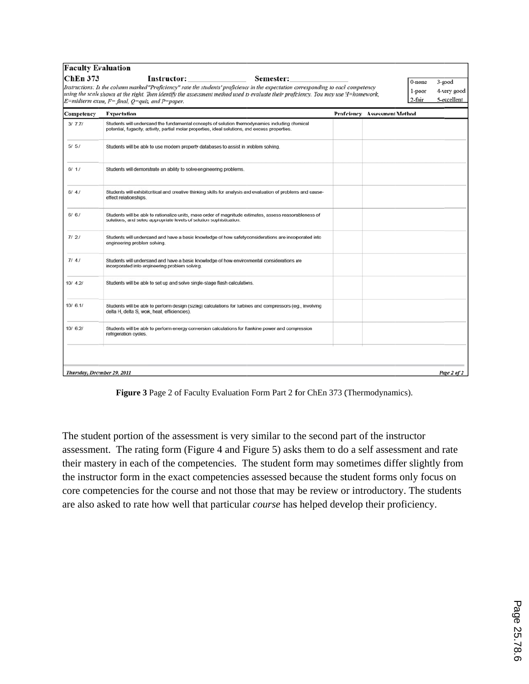| <b>Faculty Evaluation</b><br><b>ChEn 373</b> | <b>Instructor:</b><br>Semester:<br>Instructions: In the column marked "Proficiency" rate the students' proficiency in the expectation corresponding to each competency<br>using the scale shown at the right. Then identify the assessment method used to evaluate their proficiency. You may use H=homework,<br>$E = midterm$ exam, $F = final$ , $Q = quiz$ , and $P = paper$ . |                               | 0-none<br>1-poor<br>2-fair | $3$ -good<br>4-very good<br>5-excellent |
|----------------------------------------------|-----------------------------------------------------------------------------------------------------------------------------------------------------------------------------------------------------------------------------------------------------------------------------------------------------------------------------------------------------------------------------------|-------------------------------|----------------------------|-----------------------------------------|
| Competency                                   | <b>Expectation</b>                                                                                                                                                                                                                                                                                                                                                                | Proficiency Assessment Method |                            |                                         |
| 3/7.7/                                       | Students will understand the fundamental concepts of solution thermodynamics including chemical<br>potential, fugacity, activity, partial molar procerties, ideal solutions, and excess properties.                                                                                                                                                                               |                               |                            |                                         |
| 5/5/                                         | Students will be able to use modern property databases to assist in problem solving.                                                                                                                                                                                                                                                                                              |                               |                            |                                         |
| 6/1/                                         | Students will demonstrate an ability to solve engineering problems.                                                                                                                                                                                                                                                                                                               |                               |                            |                                         |
| 6/4/                                         | Students will exhibit critical and creative thinking skills for analysis and evaluation of problems and cause-<br>effect relationships.                                                                                                                                                                                                                                           |                               |                            |                                         |
| 6/6/                                         | Students will be able to rationalize units, make order of magnitude estimates, assess reasonableness of<br>solutions, and select appropriate levels of solution sophistication.                                                                                                                                                                                                   |                               |                            |                                         |
| 7121                                         | Students will understand and have a basic knowledge of how safety considerations are incorporated into<br>engineering problem solving.                                                                                                                                                                                                                                            |                               |                            |                                         |
| 7141                                         | Students will understand and have a basic knowledge of how environmental considerations are<br>incorporated into engineering problem solving.                                                                                                                                                                                                                                     |                               |                            |                                         |
| 10/4.2/                                      | Students will be able to set up and solve single-stage flash calculations.                                                                                                                                                                                                                                                                                                        |                               |                            |                                         |
| 10/6.1/                                      | Students will be able to perform design (sizing) calculations for turbines and compressors (e.g., involving<br>delta H, delta S, work, heat, efficiencies).                                                                                                                                                                                                                       |                               |                            |                                         |
| 10/6.2/                                      | Students will be able to perform energy conversion calculations for Rankine power and compression<br>refrigeration cycles.                                                                                                                                                                                                                                                        |                               |                            |                                         |
|                                              |                                                                                                                                                                                                                                                                                                                                                                                   |                               |                            |                                         |
| Thursday, December 29, 2011                  |                                                                                                                                                                                                                                                                                                                                                                                   |                               |                            | Page 2 of 2                             |

Figure 3 Page 2 of Faculty Evaluation Form Part 2 for ChEn 373 (Thermodynamics).

The student portion of the assessment is very similar to the second part of the instructor assessment. The rating form (Figure 4 and Figure 5) asks them to do a self assessment and rate their mastery in each of the competencies. The student form may sometimes differ slightly from the instructor form in the exact competencies assessed because the student forms only focus on core competencies for the course and not those that may be review or introductory. The students are also asked to rate how well that particular *course* has helped develop their proficiency.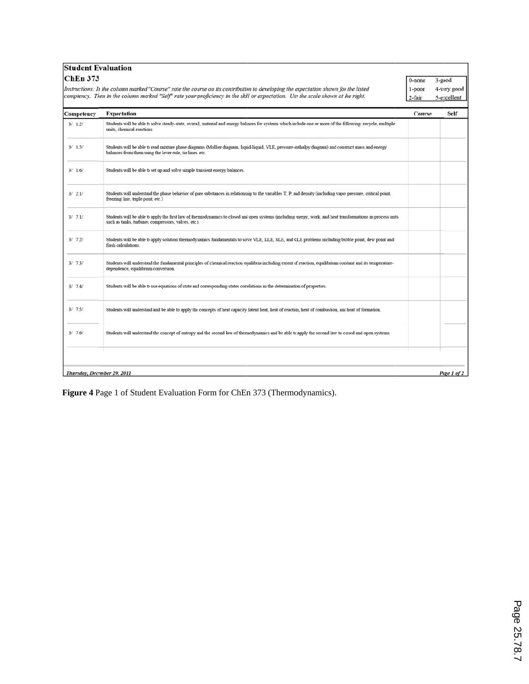| <b>Student Evaluation</b>   |                                                                                                                                                                                                                                                                        |                            |                                      |
|-----------------------------|------------------------------------------------------------------------------------------------------------------------------------------------------------------------------------------------------------------------------------------------------------------------|----------------------------|--------------------------------------|
| <b>ChEn 373</b>             | Instructions: In the column marked "Course" rate the course on its contribution to developing the expectation shown for the listed<br>comptency. Then in the column marked "Self" rate your proficiency in the skill or expectation. Use the scale shown at the right. | 0-none<br>1-poor<br>2-fair | 3-good<br>4-very good<br>5-excellent |
| Competency                  | <b>Expectation</b>                                                                                                                                                                                                                                                     | Course                     | Self                                 |
| 3/1.2/                      | Students will be able to solve steady-state, overall, material and energy balances for systems which include one or more of the following: recycle, multiple<br>units, chemical reactions.                                                                             |                            |                                      |
| 3/1.5/                      | Students will be able to read mixture phase diagrams (Mollier diagram, liquid-liquid, VLE, pressure-enthalpy diagram) and construct mass and energy<br>balances from them using the lever rule, tie lines, etc.                                                        |                            |                                      |
| 3/1.6/                      | Students will be able to set up and solve simple transient energy balances.                                                                                                                                                                                            |                            |                                      |
| 3/2.1/                      | Students will understand the phase behavior of pure substances in relationship to the variables T, P, and density (including vapor pressure, critical point,<br>freezing line, triple point, etc.)                                                                     |                            |                                      |
| 3/7.1/                      | Students will be able to apply the first law of thermodynamics to closed and open systems (including energy, work, and heat transformations in process units<br>such as tanks, turbines, compressors, valves, etc.).                                                   |                            |                                      |
| 3/7.2/                      | Students will be able to apply solution thermodynamics fundamentals to solve VLE, LLE, SLE, and GLE problems including bubble point, dew point and<br>flash calculations.                                                                                              |                            |                                      |
| 3/7.3/                      | Students will understand the fundamental principles of chemical reaction equilibria including extent of reaction, equilibrium constant and its temperature-<br>dependence, equilibrium conversion.                                                                     |                            |                                      |
| 3/7.4/                      | Students will be able to use equations of state and corresponding states correlations in the determination of properties.                                                                                                                                              |                            |                                      |
| 3/7.5/                      | Students will understand and be able to apply the concepts of heat capacity latent heat, heat of reaction, heat of combustion, and heat of formation.                                                                                                                  |                            |                                      |
| 3/7.6                       | Students will understand the concept of entropy and the second law of thermodynamics and be able to apply the second law to closed and open systems.                                                                                                                   |                            |                                      |
|                             |                                                                                                                                                                                                                                                                        |                            |                                      |
| Thursday, December 29, 2011 |                                                                                                                                                                                                                                                                        |                            | Page 1 of 2                          |

**Figure 4** Page 1 of Student Evaluation Form for ChEn 373 (Thermodynamics).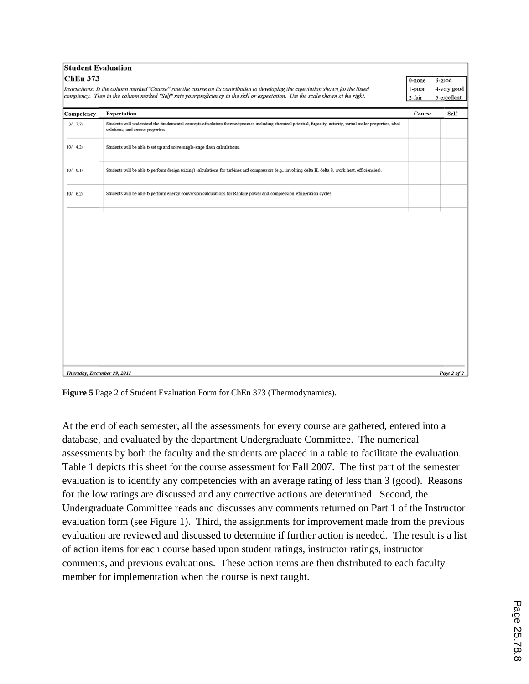| <b>Student Evaluation</b><br><b>ChEn 373</b> | Instructions: In the column marked "Course" rate the course on its contribution to developing the expectation shown for the listed<br>comptency. Then in the column marked "Self" rate your proficiency in the skill or expectation. Use the scale shown at the right. | 0-none<br>1-poor<br>2-fair | 3-good<br>4-very good<br>5-excellent |
|----------------------------------------------|------------------------------------------------------------------------------------------------------------------------------------------------------------------------------------------------------------------------------------------------------------------------|----------------------------|--------------------------------------|
| Competency                                   | <b>Expectation</b>                                                                                                                                                                                                                                                     | Course                     | Self                                 |
| 3/7.7/                                       | Students will understand the fundamental concepts of solution thermodynamics including chemical potential, fugacity, activity, partial molar properties, ideal<br>solutions, and excess properties.                                                                    |                            |                                      |
| 10/4.2/                                      | Students will be able to set up and solve single-stage flash calculations.                                                                                                                                                                                             |                            |                                      |
| 10/6.1/                                      | Students will be able to perform design (sizing) calculations for turbines and compressors (e.g., involving delta H, delta S, work, heat, efficiencies).                                                                                                               |                            |                                      |
| 10/6.2/                                      | Students will be able to perform energy conversion calculations for Rankine power and compression refrigeration cycles.                                                                                                                                                |                            |                                      |
|                                              |                                                                                                                                                                                                                                                                        |                            |                                      |
| Thursday, December 29, 2011                  |                                                                                                                                                                                                                                                                        |                            | Page 2 of 2                          |

Figure 5 Page 2 of Student Evaluation Form for ChEn 373 (Thermodynamics).

At the end of each semester, all the assessments for every course are gathered, entered into a database, and evaluated by the department Undergraduate Committee. The numerical assessments by both the faculty and the students are placed in a table to facilitate the evaluation. Table 1 depicts this sheet for the course assessment for Fall 2007. The first part of the semester evaluation is to identify any competencies with an average rating of less than 3 (good). Reasons for the low ratings are discussed and any corrective actions are determined. Second, the Undergraduate Committee reads and discusses any comments returned on Part 1 of the Instructor evaluation form (see Figure 1). Third, the assignments for improvement made from the previous evaluation are reviewed and discussed to determine if further action is needed. The result is a list of action items for each course based upon student ratings, instructor ratings, instructor comments, and previous evaluations. These action items are then distributed to each faculty member for implementation when the course is next taught.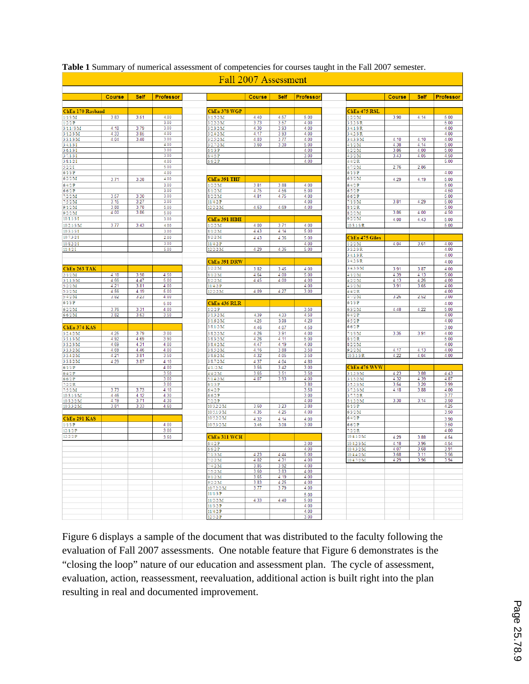|                         | <b>Course</b> | Self         | <b>Professor</b> |                           | <b>Course</b> | Self              | Professor    |                           | <b>Course</b> | Self         | <b>Professor</b> |
|-------------------------|---------------|--------------|------------------|---------------------------|---------------|-------------------|--------------|---------------------------|---------------|--------------|------------------|
|                         |               |              |                  |                           |               |                   |              |                           |               |              |                  |
| ChEn 170 Rasband        | 3.83          | 3.51         | 4.00             | ChEn 378 WGP<br>3/1.5/2/M | 4.40          | 4.57              | 5.00         | ChEn 475 RSL<br>1/2/2/M   | 3.90          | 4.14         | 5.00             |
| 1/1/3/M<br>$1/2/2$ /P   |               |              | 3.00             | 3/2.2/2/M                 | 3.73          | 3.57              | 4.00         | 3/3.2/3/R                 |               |              | 5.00             |
| $3/1.1$ //3/M           | 4.18          | 3.79         | 3.00             | 3/2.3/2/M                 | 4.30          | 3.93              | 4.00         | 3/4.1/3/R                 |               |              | 4.00             |
| 3/1.2/3/M               | 4.33          | 3.85         | 4.00             | 3/2.4/2/M                 | 4.17          | $3.\overline{93}$ | 4.00         | 3/4.2/3/R                 |               |              | 4.00             |
| 3/3.1/3/M               | 4.04          | 3.48         | 3.00             | 3/2.5/2/M                 | 4.03          | 3.77              | 4.00         | 3/4.3/3/M                 | 4.10          | 4.10         | 4.00             |
| 3/4.1/3/1               |               |              | 4.00             | 3/2.7/2/M                 | 3.60          | 3.30              | 5.00         | 4/1/2/M                   | 4.38          | 4.14         | 5.00             |
| 3/6.1/3/1<br>3/7.1/3/1  |               |              | 3.00<br>3.00     | $6/1/3$ /P<br>6/4/5/P     |               |                   | 4.00<br>3.00 | 4/2/2/M<br>4/3/2/M        | 3.86<br>3.43  | 4.00<br>4.05 | 5.00<br>4.50     |
| 3/8.1/2/1               |               |              | 4.00             | $6/6/2$ /P                |               |                   | 4.00         | $\frac{1}{4}{4/2}$ /R     |               |              | 5.00             |
| 5/2/2/1                 |               |              | 5.00             |                           |               |                   |              | 4/1/2/M                   | 2.76          | 2.86         |                  |
| $6/1/3$ /P              |               |              | 4.00             |                           |               |                   |              | $6/1/3$ /P                |               |              | 4.00             |
| 6/2/2/M                 | 3.71          | 3.38         | 4.00             | ChEn 391 THF              |               |                   |              | 6/3/2/M                   | 4.29          | 4.19         | 5.00             |
| $6/4/2$ /P              |               |              | 3.00             | 1/2/2/M                   | 3.81          | 3.88              | 4.00         | $6/4/2$ /P                |               |              | 5.00             |
| 6/6/2/P                 |               |              | 3.00             | 8/1/2/M                   | 4.75          | 4.56              | 5.00         | 6/5/2/P                   |               |              | 4.50             |
| 7/2/2/M<br>7/5/2/M      | 3.57<br>3.15  | 3.30<br>3.27 | 3.00<br>3.00     | 8/2/2/M<br>$11/4/2$ /P    | 4.81          | 4.75              | 4.00<br>4.00 | 6/6/2/P<br>7/1/3/M        | 3.81          | 4.29         | 5.00<br>5.00     |
| 9/1/2/M                 | 3.88          | 3.78         | 5.00             | 12/2/2/M                  | 4.63          | 4.69              | 4.00         | 8/1/2/R                   |               |              | 5.00             |
| 9/2/2/M                 | 4.00          | 3.86         | 5.00             |                           |               |                   |              | 8/2/2/M                   | 3.86          | 4.00         | 4.50             |
| 10/1.1/3/1              |               |              | 3.00             | ChEn 391 HBH              |               |                   |              | 9/2/2/M                   | 4.00          | 4.43         | 5.00             |
| 10/2.1/3/M              | 3.77          | 3.43         | 4.00             | 1/2/2/M                   | 4.00          | 3.71              | 4.00         | 10/3.1/3/R                |               |              | 5.00             |
| 10/3.1/3/1              |               |              | 3.00             | 8/1/2/M                   | 4.43          | 4.14              | 5.00         |                           |               |              |                  |
| 10/7.3/2/1              |               |              | 2.00             | 8/2/2/M                   | 4.43          | 4.36              | 5.00         | ChEn 475 Giles            |               |              |                  |
| 10/8.2/2/1              |               |              | 3.00             | $11/4/2$ /P               |               |                   | 4.00         | 1/2/2/M                   | 4.04          | 3.61         | 4.00             |
| 11/4/2/1                |               |              | 5.00             | 12/2/2/M                  | 4.29          | 4.36              | 5.00         | 3/3.2/3/R                 |               |              | 4.00             |
|                         |               |              |                  |                           |               |                   |              | 3/4.1/3/R                 |               |              | 4.00             |
|                         |               |              |                  | ChEn 391 DRW              |               |                   |              | 3/4.2/3/R                 |               |              | 4.00             |
| ChEn 263 TAK            |               |              |                  | 1/2/2/M                   | 3.82          | 3.45              | 4.00         | 3/4.3/3/M                 | 3.91          | 3.87         | 4.00             |
| 2/1/2/M                 | 4.18          | 3.98         | 4.50             | 8/1/2/M                   | 4.64          | 4.00              | 5.00         | 4/1/2/M                   | 4.39          | 4.13         | 5.00             |
| 3/1.1/3/M               | 4.66          | 4.47         | 5.00             | 8/2/2/M                   | 4.45          | 4.00              | 4.00         | 4/2/2/M                   | 4.13          | 4.26         | 4.00             |
| 5/2/2/M                 | 4.21          | 3.81         | 4.00             | 11/4/2/P                  |               |                   | 4.00         | 4/3/2/M                   | 3.91          | 3.65         | 4.00             |
| 5/3/2/M<br>5/4/2/M      | 4.56<br>3.82  | 4.19<br>3.23 | 5.00<br>4.00     | 12/2/2/M                  | 4.09          | 4.27              | 3.00         | 4/4/2/R<br>4/1/2/M        | 3.26          | 2.52         | 4.00<br>3.00     |
| $6/1/3$ /P              |               |              | 5.00             |                           |               |                   |              | $6/1/3$ /P                |               |              | 4.00             |
| 6/2/2/M                 | 3.76          | 3.31         | 4.00             | ChEn 436 RLR<br>1/2/2/P   |               |                   | 3.50         | 6/3/2/M                   | 4.48          | 4.22         | 5.00             |
| 6/6/2/M                 | 3.82          | 3.63         | 3.50             | 3/1.3/2/M                 | 4.39          | 4.33              | 4.50         | $6/4/2$ /P                |               |              | 4.00             |
|                         |               |              |                  | 3/1.6/2/M                 | 4.26          | 3.98              | 4.20         | 6/5/2/P                   |               |              | 4.00             |
| ChEn 374 KAS            |               |              |                  | 3/8.1/2/M                 | 4.46          | 4.07              | 4.50         | 6/6/2/P                   |               |              | 3.00             |
| 3/2.4/2/M               | 4.25          | 3.79         | 3.00             | 3/8.2/2/M                 | 4.26          | 3.91              | 4.00         | 7/1/3/M                   | 3.35          | 3.91         | 4.00             |
| 3/3.1/3/M               | 4.92          | 4.69         | 3.90             | 3/8.3/2/M                 | 4.26          | 4.11              | 5.00         | 8/1/2/R                   |               |              | 5.00             |
| 3/3.2/3/M               | 4.69          | 4.31         | 4.00             | 3/8.4/2/M                 | 4.47          | 4.19              | 4.00         | 8/2/2/M                   |               |              | 4.00             |
| 3/3.3/2/M               | 4.69          | 4.46         | 4.00             | 3/8.5/2/M                 | 4.16          | 3.88              | 3.50         | 9/2/2/M                   | 4.17          | 4.13         | 4.00             |
| 3/3.4/2/M               | 4.21          | 3.81         | 3.50             | 3/8.6/2/M                 | 4.32          | 4.05              | 3.50         | 10/3.1/3/R                | 4.22          | 4.04         | 4.00             |
| 3/3.8/2/M               | 4.29          | 3.87         | 4.10             | 3/8.7/2/M                 | 4.37          | 4.04              | 4.80         |                           |               |              |                  |
| $6/1/3$ /P              |               |              | 4.00<br>3.50     | 4/1./2/M<br>4/4/2/M       | 3.56<br>3.65  | 3.42<br>3.51      | 3.00<br>3.50 | ChEn 476 WVW<br>3/1.2/3/M | 4.23          | 3.88         | 4.43             |
| $6/4/2$ /P<br>6/6/2/P   |               |              | 3.00             | 5/1.4/2/M                 | 4.07          | 3.93              | 4.00         | 3/1.5/2/M                 | 4.32          | 4.39         | 4.87             |
| 7/2/2/R                 |               |              | 3.00             | 6/1/3/P                   |               |                   | 3.80         | 3/5.2/3/M                 | 3.54          | 3.20         | 3.99             |
| 7/5/2/M                 | 3.73          | 3.73         | 4.10             | 6/4/2/P                   |               |                   | 3.50         | 3/7.2/3/M                 | 4.18          | 3.88         | 4.00             |
| 10/3.1/3/M              | 4.46          | 4.12         | 4.30             | 6/6/2/P                   |               |                   | 3.00         | 3/7.7/2/R                 |               |              | 3.77             |
| 10/3.2/2/M              | 4.19          | 3.71         | 4.30             | 7/2/2/P                   |               |                   | 4.00         | 5/1.2/2/M                 | 3.30          | 3.14         | 3.50             |
| 10/3.3/2/M              | 3.81          | 3.33         | 4.60             | 10/3.2/2/M                | 3.60          | 3.23              | 3.80         | $6/1/3$ /P                |               |              | 4.25             |
|                         |               |              |                  | 10/5.1/3/M                | 4.35          | 4.25              | 4.00         | 6/3/2/M                   |               |              | 3.50             |
| ChEn 291 KAS            |               |              |                  | 10/5.2/2/M                | 4.32          | 4.14              | 4.00         | $6/4/2$ /P                |               |              | 3.90             |
| $1/1/3$ /P              |               |              | 4.00             | 10/5.3/2/M                | 3.46          | 3.08              | 3.00         | $6/6/2$ /P                |               |              | 3.50             |
| $12/1/2$ /P<br>12/2/2/P |               |              | 3.00             |                           |               |                   |              | 7/2/2/R<br>10/4.1/2/M     |               |              | 4.00             |
|                         |               |              | 3.50             | ChEn 311 WCH              |               |                   |              |                           | 4.29          | 3.88         | 4.54             |
|                         |               |              |                  | $6/4/2$ /P                |               |                   | 3.00         | 10/4.2/3/M                | 4.18          | 3.96         | 4.54             |
|                         |               |              |                  | 6/6/2/P<br>7/1/3/M        | 4.23          | 4.44              | 4.00<br>5.00 | 10/4.3/2/M<br>10/4.4/2/M  | 4.07<br>3.68  | 3.68<br>3.11 | 3.91<br>3.56     |
|                         |               |              |                  | $\frac{1}{2}$ /2/M        | 4.02          | 4.31              | 4.00         | 10/4.7/2/M                | 4.29          | 3.96         | 3.94             |
|                         |               |              |                  | 7/4/2/M                   | 3.85          | 3.92              | 4.00         |                           |               |              |                  |
|                         |               |              |                  | 7/5/2/M                   | 3.60          | 3.83              | 4.00         |                           |               |              |                  |
|                         |               |              |                  | 9/1/2/M                   | 3.65          | 4.19              | 4.00         |                           |               |              |                  |
|                         |               |              |                  | 9/2/2/M                   | 3.83          | 4.25              | 4.00         |                           |               |              |                  |
|                         |               |              |                  | 10/7.2/2/M                | 3.77          | 3.79              | 4.00         |                           |               |              |                  |
|                         |               |              |                  | 11/1/3/P                  |               |                   | 5.00         |                           |               |              |                  |
|                         |               |              |                  | 11/2/2/M                  | 4.33          | 4.40              | 5.00         |                           |               |              |                  |
|                         |               |              |                  | 11/3/2/P                  |               |                   | 4.00         |                           |               |              |                  |
|                         |               |              |                  | $11/4/2$ /P<br>12/5/2/P   |               |                   | 4.00<br>3.00 |                           |               |              |                  |
|                         |               |              |                  |                           |               |                   |              |                           |               |              |                  |

#### **Table 1** Summary of numerical assessment of competencies for courses taught in the Fall 2007 semester.

#### Fall 2007 Assessment

Figure 6 displays a sample of the document that was distributed to the faculty following the evaluation of Fall 2007 assessments. One notable feature that Figure 6 demonstrates is the "closing the loop" nature of our education and assessment plan. The cycle of assessment, evaluation, action, reassessment, reevaluation, additional action is built right into the plan resulting in real and documented improvement.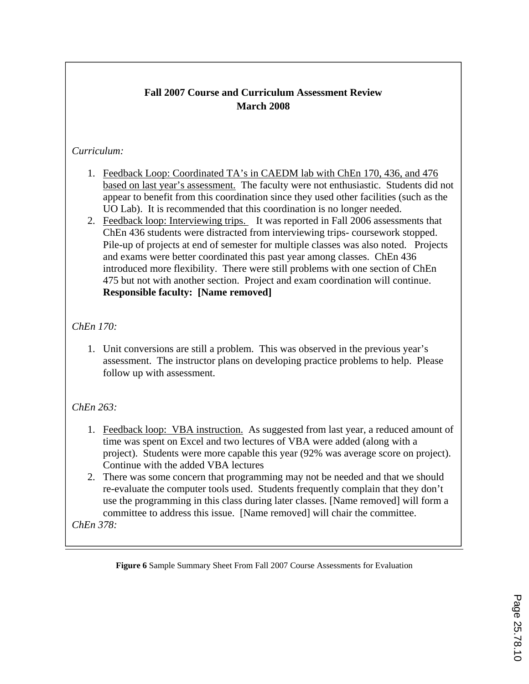# **Fall 2007 Course and Curriculum Assessment Review March 2008**

### *Curriculum:*

- 1. Feedback Loop: Coordinated TA's in CAEDM lab with ChEn 170, 436, and 476 based on last year's assessment. The faculty were not enthusiastic. Students did not appear to benefit from this coordination since they used other facilities (such as the UO Lab). It is recommended that this coordination is no longer needed.
- 2. Feedback loop: Interviewing trips. It was reported in Fall 2006 assessments that ChEn 436 students were distracted from interviewing trips- coursework stopped. Pile-up of projects at end of semester for multiple classes was also noted. Projects and exams were better coordinated this past year among classes. ChEn 436 introduced more flexibility. There were still problems with one section of ChEn 475 but not with another section. Project and exam coordination will continue. **Responsible faculty: [Name removed]**

# *ChEn 170:*

1. Unit conversions are still a problem. This was observed in the previous year's assessment. The instructor plans on developing practice problems to help. Please follow up with assessment.

# *ChEn 263:*

- 1. Feedback loop: VBA instruction. As suggested from last year, a reduced amount of time was spent on Excel and two lectures of VBA were added (along with a project). Students were more capable this year (92% was average score on project). Continue with the added VBA lectures
- 2. There was some concern that programming may not be needed and that we should re-evaluate the computer tools used. Students frequently complain that they don't use the programming in this class during later classes. [Name removed] will form a committee to address this issue. [Name removed] will chair the committee.

*ChEn 378:* 

**Figure 6** Sample Summary Sheet From Fall 2007 Course Assessments for Evaluation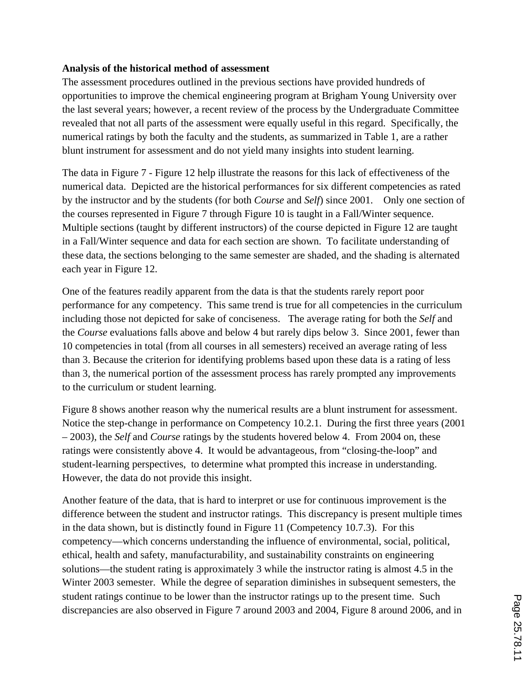### **Analysis of the historical method of assessment**

The assessment procedures outlined in the previous sections have provided hundreds of opportunities to improve the chemical engineering program at Brigham Young University over the last several years; however, a recent review of the process by the Undergraduate Committee revealed that not all parts of the assessment were equally useful in this regard. Specifically, the numerical ratings by both the faculty and the students, as summarized in Table 1, are a rather blunt instrument for assessment and do not yield many insights into student learning.

The data in Figure 7 - Figure 12 help illustrate the reasons for this lack of effectiveness of the numerical data. Depicted are the historical performances for six different competencies as rated by the instructor and by the students (for both *Course* and *Self*) since 2001. Only one section of the courses represented in Figure 7 through Figure 10 is taught in a Fall/Winter sequence. Multiple sections (taught by different instructors) of the course depicted in Figure 12 are taught in a Fall/Winter sequence and data for each section are shown. To facilitate understanding of these data, the sections belonging to the same semester are shaded, and the shading is alternated each year in Figure 12.

One of the features readily apparent from the data is that the students rarely report poor performance for any competency. This same trend is true for all competencies in the curriculum including those not depicted for sake of conciseness. The average rating for both the *Self* and the *Course* evaluations falls above and below 4 but rarely dips below 3. Since 2001, fewer than 10 competencies in total (from all courses in all semesters) received an average rating of less than 3. Because the criterion for identifying problems based upon these data is a rating of less than 3, the numerical portion of the assessment process has rarely prompted any improvements to the curriculum or student learning.

Figure 8 shows another reason why the numerical results are a blunt instrument for assessment. Notice the step-change in performance on Competency 10.2.1. During the first three years (2001 – 2003), the *Self* and *Course* ratings by the students hovered below 4. From 2004 on, these ratings were consistently above 4. It would be advantageous, from "closing-the-loop" and student-learning perspectives, to determine what prompted this increase in understanding. However, the data do not provide this insight.

Another feature of the data, that is hard to interpret or use for continuous improvement is the difference between the student and instructor ratings. This discrepancy is present multiple times in the data shown, but is distinctly found in Figure 11 (Competency 10.7.3). For this competency—which concerns understanding the influence of environmental, social, political, ethical, health and safety, manufacturability, and sustainability constraints on engineering solutions—the student rating is approximately 3 while the instructor rating is almost 4.5 in the Winter 2003 semester. While the degree of separation diminishes in subsequent semesters, the student ratings continue to be lower than the instructor ratings up to the present time. Such discrepancies are also observed in Figure 7 around 2003 and 2004, Figure 8 around 2006, and in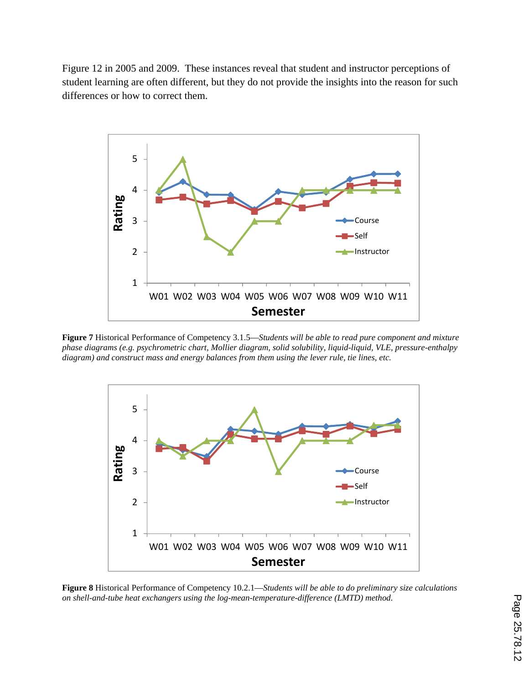Figure 12 in 2005 and 2009. These instances reveal that student and instructor perceptions of student learning are often different, but they do not provide the insights into the reason for such differences or how to correct them.



**Figure 7** Historical Performance of Competency 3.1.5—*Students will be able to read pure component and mixture phase diagrams (e.g. psychrometric chart, Mollier diagram, solid solubility, liquid-liquid, VLE, pressure-enthalpy diagram) and construct mass and energy balances from them using the lever rule, tie lines, etc.* 



**Figure 8** Historical Performance of Competency 10.2.1—*Students will be able to do preliminary size calculations on shell-and-tube heat exchangers using the log-mean-temperature-difference (LMTD) method.*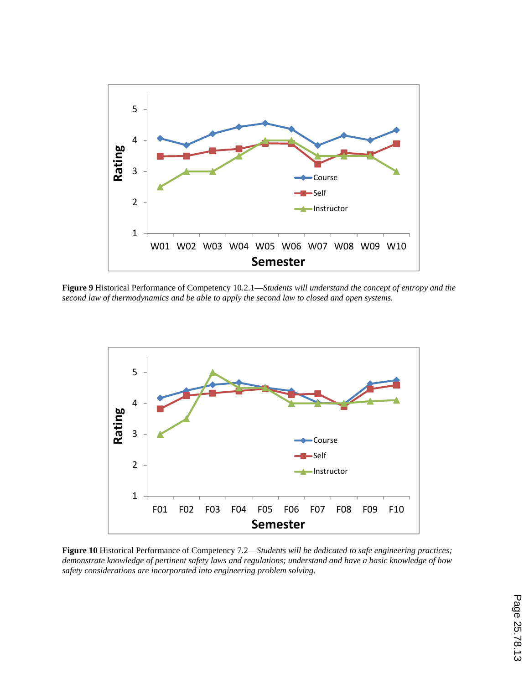

**Figure 9** Historical Performance of Competency 10.2.1—*Students will understand the concept of entropy and the second law of thermodynamics and be able to apply the second law to closed and open systems.* 



**Figure 10** Historical Performance of Competency 7.2—*Students will be dedicated to safe engineering practices; demonstrate knowledge of pertinent safety laws and regulations; understand and have a basic knowledge of how safety considerations are incorporated into engineering problem solving.*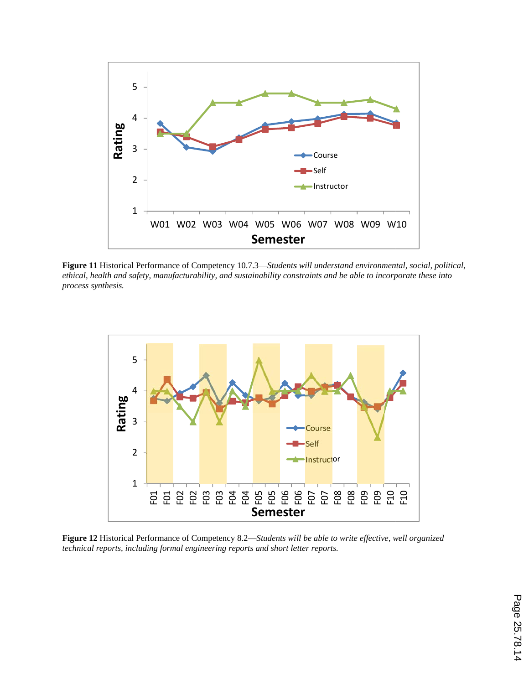

Figure 11 Historical Performance of Competency 10.7.3—Students will understand environmental, social, political, *ethical, health and safety, manufacturability, and sustainability constraints and be able to incorporate these into process synthesis.* 



Figure 12 Historical Performance of Competency 8.2—*Students will be able to write effective, well organized technical r reports, includi ing formal eng gineering repor rts and short le etter reports.*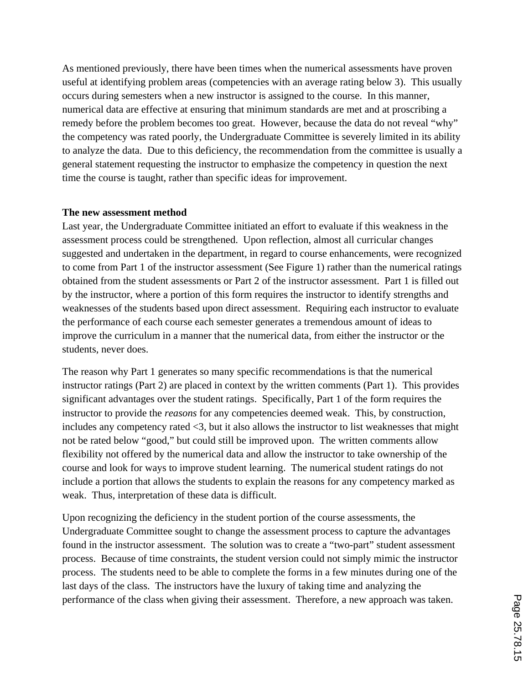As mentioned previously, there have been times when the numerical assessments have proven useful at identifying problem areas (competencies with an average rating below 3). This usually occurs during semesters when a new instructor is assigned to the course. In this manner, numerical data are effective at ensuring that minimum standards are met and at proscribing a remedy before the problem becomes too great. However, because the data do not reveal "why" the competency was rated poorly, the Undergraduate Committee is severely limited in its ability to analyze the data. Due to this deficiency, the recommendation from the committee is usually a general statement requesting the instructor to emphasize the competency in question the next time the course is taught, rather than specific ideas for improvement.

### **The new assessment method**

Last year, the Undergraduate Committee initiated an effort to evaluate if this weakness in the assessment process could be strengthened. Upon reflection, almost all curricular changes suggested and undertaken in the department, in regard to course enhancements, were recognized to come from Part 1 of the instructor assessment (See Figure 1) rather than the numerical ratings obtained from the student assessments or Part 2 of the instructor assessment. Part 1 is filled out by the instructor, where a portion of this form requires the instructor to identify strengths and weaknesses of the students based upon direct assessment. Requiring each instructor to evaluate the performance of each course each semester generates a tremendous amount of ideas to improve the curriculum in a manner that the numerical data, from either the instructor or the students, never does.

The reason why Part 1 generates so many specific recommendations is that the numerical instructor ratings (Part 2) are placed in context by the written comments (Part 1). This provides significant advantages over the student ratings. Specifically, Part 1 of the form requires the instructor to provide the *reasons* for any competencies deemed weak. This, by construction, includes any competency rated <3, but it also allows the instructor to list weaknesses that might not be rated below "good," but could still be improved upon. The written comments allow flexibility not offered by the numerical data and allow the instructor to take ownership of the course and look for ways to improve student learning. The numerical student ratings do not include a portion that allows the students to explain the reasons for any competency marked as weak. Thus, interpretation of these data is difficult.

Upon recognizing the deficiency in the student portion of the course assessments, the Undergraduate Committee sought to change the assessment process to capture the advantages found in the instructor assessment. The solution was to create a "two-part" student assessment process. Because of time constraints, the student version could not simply mimic the instructor process. The students need to be able to complete the forms in a few minutes during one of the last days of the class. The instructors have the luxury of taking time and analyzing the performance of the class when giving their assessment. Therefore, a new approach was taken.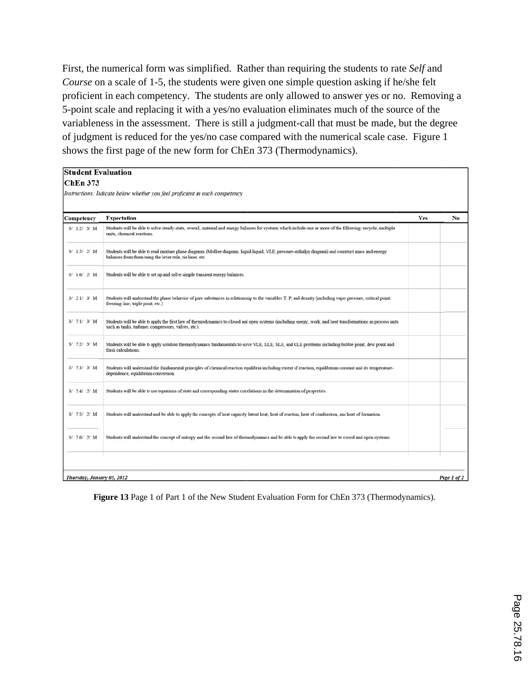First, the numerical form was simplified. Rather than requiring the students to rate Self and Course on a scale of 1-5, the students were given one simple question asking if he/she felt proficient in each competency. The students are only allowed to answer yes or no. Removing a 5-point scale and replacing it with a yes/no evaluation eliminates much of the source of the variableness in the assessment. There is still a judgment-call that must be made, but the degree of judgment is reduced for the yes/no case compared with the numerical scale case. Figure 1 shows the first page of the new form for ChEn 373 (Thermodynamics).

#### **Student Evaluation**

#### **ChEn 373**

Instructions: Indicate below whether you feel proficient m each competency

| Competency | <b>Expectation</b>                                                                                                                                                                                                   | Yes | No |
|------------|----------------------------------------------------------------------------------------------------------------------------------------------------------------------------------------------------------------------|-----|----|
| 3/1.2/3/M  | Students will be able to solve steady-state, overall, material and energy balances for systems which include one or more of the following: recycle, multiple<br>units, chemical reactions.                           |     |    |
| 3/1.5/2/M  | Students will be able to read mixture phase diagrams (Mollier diagram, liquid-liquid, VLE, pressure-enthalpy diagram) and construct mass and energy<br>balances from them using the lever rule, tie lines, etc.      |     |    |
| 3/1.6/2/M  | Students will be able to set up and solve simple transient energy balances.                                                                                                                                          |     |    |
| 3/2.1/3/ M | Students will understand the phase behavior of pure substances in relationship to the variables T, P, and density (including vapor pressure, critical point,<br>freezing line, triple point, etc.)                   |     |    |
| 3/7.1/3/M  | Students will be able to apply the first law of thermodynamics to closed and open systems (including energy, work, and heat transformations in process units<br>such as tanks, turbines, compressors, valves, etc.). |     |    |
| 3/7.2/3/ M | Students will be able to apply solution thermodynamics fundamentals to solve VLE, LLE, SLE, and GLE problems including bubble point, dew point and<br>flash calculations.                                            |     |    |
| 3/7.3/3/ M | Students will understand the fundamental principles of chemical reaction equilibria including extent of reaction, equilibrium constant and its temperature-<br>dependence, equilibrium conversion.                   |     |    |
| 3/7.4/2/M  | Students will be able to use equations of state and corresponding states correlations in the determination of properties.                                                                                            |     |    |
| 3/7.5/2/M  | Students will understand and be able to apply the concepts of heat capacity latent heat, heat of reaction, heat of combustion, and heat of formation.                                                                |     |    |
| 3/7.6/2/M  | Students will understand the concept of entropy and the second law of thermodynamics and be able to apply the second law to closed and open systems.                                                                 |     |    |
|            |                                                                                                                                                                                                                      |     |    |

**Figure 13** Page 1 of Part 1 of the New Student Evaluation Form for ChEn 373 (Thermodynamics).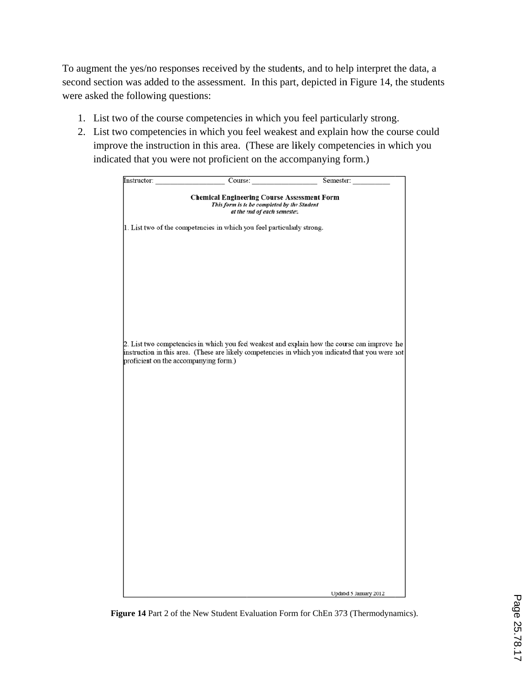To augment the yes/no responses received by the students, and to help interpret the data, a second section was added to the assessment. In this part, depicted in Figure 14, the students were asked the following questions:

- 1. List two of the course competencies in which you feel particularly strong.
- 2. List two competencies in which you feel weakest and explain how the course could improve the instruction in this area. (These are likely competencies in which you indicated that you were not proficient on the accompanying form.)

| Instructor:                           | Course:                                                                                                                           | Semester:                                                                                                                                                                                          |
|---------------------------------------|-----------------------------------------------------------------------------------------------------------------------------------|----------------------------------------------------------------------------------------------------------------------------------------------------------------------------------------------------|
|                                       | <b>Chemical Engineering Course Assessment Form</b><br>This form is to be completed by the Student<br>at the end of each semester. |                                                                                                                                                                                                    |
|                                       | 1. List two of the competencies in which you feel particularly strong.                                                            |                                                                                                                                                                                                    |
|                                       |                                                                                                                                   |                                                                                                                                                                                                    |
|                                       |                                                                                                                                   |                                                                                                                                                                                                    |
|                                       |                                                                                                                                   |                                                                                                                                                                                                    |
|                                       |                                                                                                                                   |                                                                                                                                                                                                    |
|                                       |                                                                                                                                   |                                                                                                                                                                                                    |
| proficient on the accompanying form.) |                                                                                                                                   | 2. List two competencies in which you feel weakest and explain how the course can improve the<br>instruction in this area. (These are likely competencies in which you indicated that you were not |
|                                       |                                                                                                                                   |                                                                                                                                                                                                    |
|                                       |                                                                                                                                   |                                                                                                                                                                                                    |
|                                       |                                                                                                                                   |                                                                                                                                                                                                    |
|                                       |                                                                                                                                   |                                                                                                                                                                                                    |
|                                       |                                                                                                                                   |                                                                                                                                                                                                    |
|                                       |                                                                                                                                   |                                                                                                                                                                                                    |
|                                       |                                                                                                                                   |                                                                                                                                                                                                    |
|                                       |                                                                                                                                   |                                                                                                                                                                                                    |
|                                       |                                                                                                                                   |                                                                                                                                                                                                    |
|                                       |                                                                                                                                   |                                                                                                                                                                                                    |
|                                       |                                                                                                                                   | Updated 5 January 2012                                                                                                                                                                             |

Figure 14 Part 2 of the New Student Evaluation Form for ChEn 373 (Thermodynamics).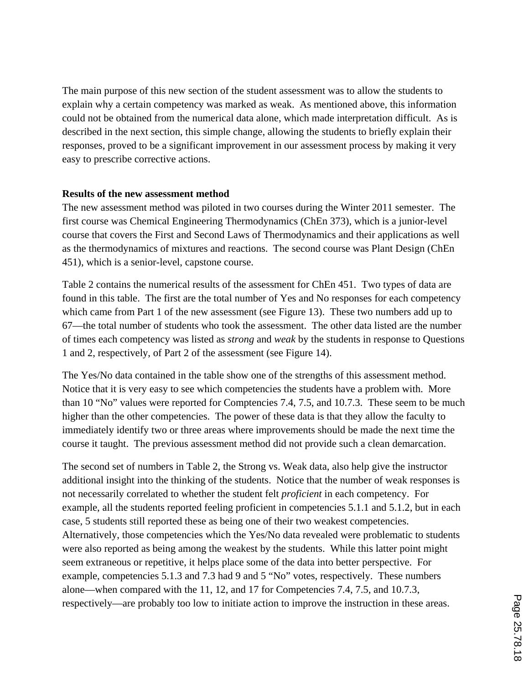The main purpose of this new section of the student assessment was to allow the students to explain why a certain competency was marked as weak. As mentioned above, this information could not be obtained from the numerical data alone, which made interpretation difficult. As is described in the next section, this simple change, allowing the students to briefly explain their responses, proved to be a significant improvement in our assessment process by making it very easy to prescribe corrective actions.

### **Results of the new assessment method**

The new assessment method was piloted in two courses during the Winter 2011 semester. The first course was Chemical Engineering Thermodynamics (ChEn 373), which is a junior-level course that covers the First and Second Laws of Thermodynamics and their applications as well as the thermodynamics of mixtures and reactions. The second course was Plant Design (ChEn 451), which is a senior-level, capstone course.

Table 2 contains the numerical results of the assessment for ChEn 451. Two types of data are found in this table. The first are the total number of Yes and No responses for each competency which came from Part 1 of the new assessment (see Figure 13). These two numbers add up to 67—the total number of students who took the assessment. The other data listed are the number of times each competency was listed as *strong* and *weak* by the students in response to Questions 1 and 2, respectively, of Part 2 of the assessment (see Figure 14).

The Yes/No data contained in the table show one of the strengths of this assessment method. Notice that it is very easy to see which competencies the students have a problem with. More than 10 "No" values were reported for Comptencies 7.4, 7.5, and 10.7.3. These seem to be much higher than the other competencies. The power of these data is that they allow the faculty to immediately identify two or three areas where improvements should be made the next time the course it taught. The previous assessment method did not provide such a clean demarcation.

The second set of numbers in Table 2, the Strong vs. Weak data, also help give the instructor additional insight into the thinking of the students. Notice that the number of weak responses is not necessarily correlated to whether the student felt *proficient* in each competency. For example, all the students reported feeling proficient in competencies 5.1.1 and 5.1.2, but in each case, 5 students still reported these as being one of their two weakest competencies. Alternatively, those competencies which the Yes/No data revealed were problematic to students were also reported as being among the weakest by the students. While this latter point might seem extraneous or repetitive, it helps place some of the data into better perspective. For example, competencies 5.1.3 and 7.3 had 9 and 5 "No" votes, respectively. These numbers alone—when compared with the 11, 12, and 17 for Competencies 7.4, 7.5, and 10.7.3, respectively—are probably too low to initiate action to improve the instruction in these areas.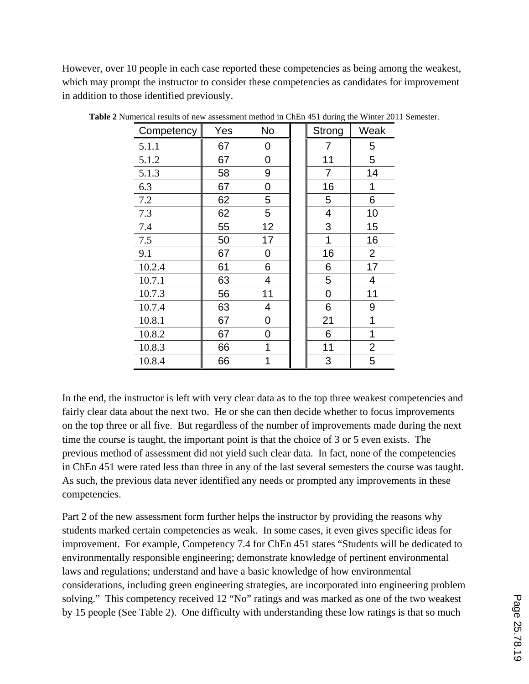However, over 10 people in each case reported these competencies as being among the weakest, which may prompt the instructor to consider these competencies as candidates for improvement in addition to those identified previously.

| Competency | Yes | No | Strong | Weak           |
|------------|-----|----|--------|----------------|
| 5.1.1      | 67  | 0  | 7      | 5              |
| 5.1.2      | 67  | 0  | 11     | 5              |
| 5.1.3      | 58  | 9  | 7      | 14             |
| 6.3        | 67  | 0  | 16     | 1              |
| 7.2        | 62  | 5  | 5      | 6              |
| 7.3        | 62  | 5  | 4      | 10             |
| 7.4        | 55  | 12 | 3      | 15             |
| 7.5        | 50  | 17 | 1      | 16             |
| 9.1        | 67  | 0  | 16     | $\overline{2}$ |
| 10.2.4     | 61  | 6  | 6      | 17             |
| 10.7.1     | 63  | 4  | 5      | 4              |
| 10.7.3     | 56  | 11 | 0      | 11             |
| 10.7.4     | 63  | 4  | 6      | 9              |
| 10.8.1     | 67  | 0  | 21     | 1              |
| 10.8.2     | 67  | 0  | 6      | 1              |
| 10.8.3     | 66  | 1  | 11     | $\overline{2}$ |
| 10.8.4     | 66  | 1  | 3      | 5              |

**Table 2** Numerical results of new assessment method in ChEn 451 during the Winter 2011 Semester.

In the end, the instructor is left with very clear data as to the top three weakest competencies and fairly clear data about the next two. He or she can then decide whether to focus improvements on the top three or all five. But regardless of the number of improvements made during the next time the course is taught, the important point is that the choice of 3 or 5 even exists. The previous method of assessment did not yield such clear data. In fact, none of the competencies in ChEn 451 were rated less than three in any of the last several semesters the course was taught. As such, the previous data never identified any needs or prompted any improvements in these competencies.

Part 2 of the new assessment form further helps the instructor by providing the reasons why students marked certain competencies as weak. In some cases, it even gives specific ideas for improvement. For example, Competency 7.4 for ChEn 451 states "Students will be dedicated to environmentally responsible engineering; demonstrate knowledge of pertinent environmental laws and regulations; understand and have a basic knowledge of how environmental considerations, including green engineering strategies, are incorporated into engineering problem solving." This competency received 12 "No" ratings and was marked as one of the two weakest by 15 people (See Table 2). One difficulty with understanding these low ratings is that so much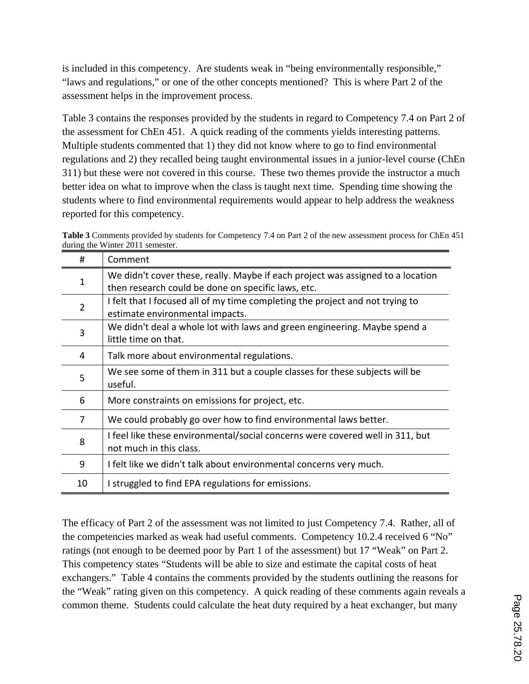is included in this competency. Are students weak in "being environmentally responsible," "laws and regulations," or one of the other concepts mentioned? This is where Part 2 of the assessment helps in the improvement process.

Table 3 contains the responses provided by the students in regard to Competency 7.4 on Part 2 of the assessment for ChEn 451. A quick reading of the comments yields interesting patterns. Multiple students commented that 1) they did not know where to go to find environmental regulations and 2) they recalled being taught environmental issues in a junior-level course (ChEn 311) but these were not covered in this course. These two themes provide the instructor a much better idea on what to improve when the class is taught next time. Spending time showing the students where to find environmental requirements would appear to help address the weakness reported for this competency.

| Table 3 Comments provided by students for Competency 7.4 on Part 2 of the new assessment process for ChEn 451 |  |
|---------------------------------------------------------------------------------------------------------------|--|
| during the Winter 2011 semester.                                                                              |  |

| #  | Comment                                                                         |
|----|---------------------------------------------------------------------------------|
|    | We didn't cover these, really. Maybe if each project was assigned to a location |
|    | then research could be done on specific laws, etc.                              |
| 2  | I felt that I focused all of my time completing the project and not trying to   |
|    | estimate environmental impacts.                                                 |
| 3  | We didn't deal a whole lot with laws and green engineering. Maybe spend a       |
|    | little time on that.                                                            |
| 4  | Talk more about environmental regulations.                                      |
| 5  | We see some of them in 311 but a couple classes for these subjects will be      |
|    | useful.                                                                         |
| 6  | More constraints on emissions for project, etc.                                 |
| 7  | We could probably go over how to find environmental laws better.                |
|    | I feel like these environmental/social concerns were covered well in 311, but   |
| 8  | not much in this class.                                                         |
| 9  | I felt like we didn't talk about environmental concerns very much.              |
| 10 | I struggled to find EPA regulations for emissions.                              |

The efficacy of Part 2 of the assessment was not limited to just Competency 7.4. Rather, all of the competencies marked as weak had useful comments. Competency 10.2.4 received 6 "No" ratings (not enough to be deemed poor by Part 1 of the assessment) but 17 "Weak" on Part 2. This competency states "Students will be able to size and estimate the capital costs of heat exchangers." Table 4 contains the comments provided by the students outlining the reasons for the "Weak" rating given on this competency. A quick reading of these comments again reveals a common theme. Students could calculate the heat duty required by a heat exchanger, but many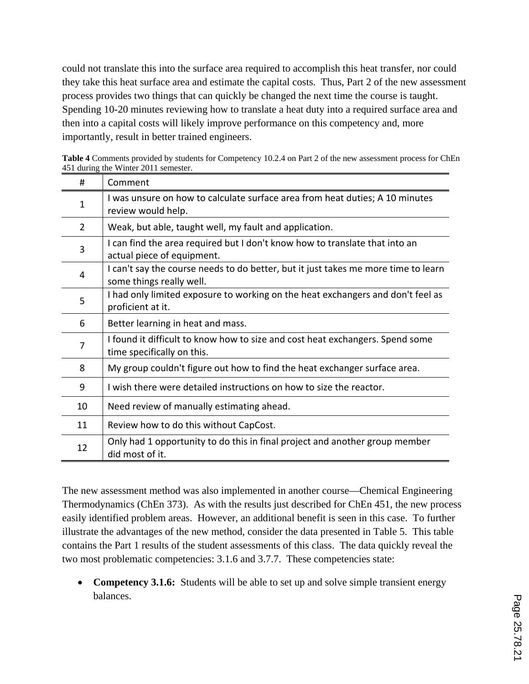could not translate this into the surface area required to accomplish this heat transfer, nor could they take this heat surface area and estimate the capital costs. Thus, Part 2 of the new assessment process provides two things that can quickly be changed the next time the course is taught. Spending 10-20 minutes reviewing how to translate a heat duty into a required surface area and then into a capital costs will likely improve performance on this competency and, more importantly, result in better trained engineers.

| <b>Table 4</b> Comments provided by students for Competency 10.2.4 on Part 2 of the new assessment process for ChEn |                                      |  |  |  |  |  |  |
|---------------------------------------------------------------------------------------------------------------------|--------------------------------------|--|--|--|--|--|--|
|                                                                                                                     | 451 during the Winter 2011 semester. |  |  |  |  |  |  |
|                                                                                                                     | $\Gamma$ Comment                     |  |  |  |  |  |  |

| #              | Comment                                                                                                        |
|----------------|----------------------------------------------------------------------------------------------------------------|
| 1              | I was unsure on how to calculate surface area from heat duties; A 10 minutes<br>review would help.             |
| $\overline{2}$ | Weak, but able, taught well, my fault and application.                                                         |
| 3              | I can find the area required but I don't know how to translate that into an<br>actual piece of equipment.      |
| 4              | I can't say the course needs to do better, but it just takes me more time to learn<br>some things really well. |
| 5              | I had only limited exposure to working on the heat exchangers and don't feel as<br>proficient at it.           |
| 6              | Better learning in heat and mass.                                                                              |
| 7              | I found it difficult to know how to size and cost heat exchangers. Spend some<br>time specifically on this.    |
| 8              | My group couldn't figure out how to find the heat exchanger surface area.                                      |
| 9              | I wish there were detailed instructions on how to size the reactor.                                            |
| 10             | Need review of manually estimating ahead.                                                                      |
| 11             | Review how to do this without CapCost.                                                                         |
| 12             | Only had 1 opportunity to do this in final project and another group member<br>did most of it.                 |

The new assessment method was also implemented in another course—Chemical Engineering Thermodynamics (ChEn 373). As with the results just described for ChEn 451, the new process easily identified problem areas. However, an additional benefit is seen in this case. To further illustrate the advantages of the new method, consider the data presented in Table 5. This table contains the Part 1 results of the student assessments of this class. The data quickly reveal the two most problematic competencies: 3.1.6 and 3.7.7. These competencies state:

• **Competency 3.1.6:** Students will be able to set up and solve simple transient energy balances.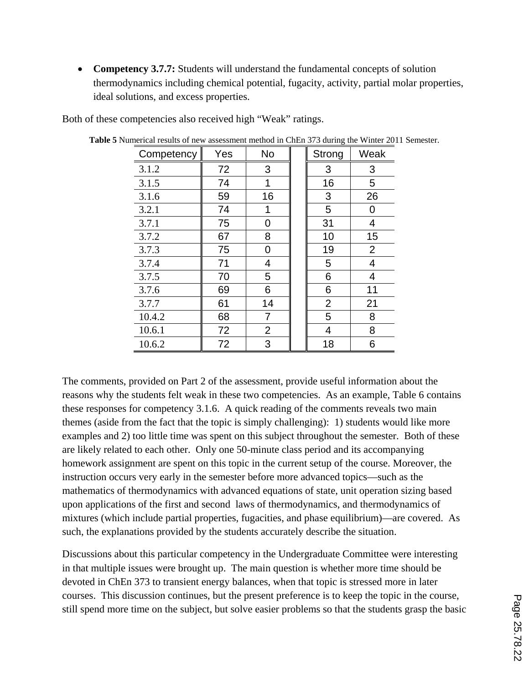• **Competency 3.7.7:** Students will understand the fundamental concepts of solution thermodynamics including chemical potential, fugacity, activity, partial molar properties, ideal solutions, and excess properties.

| Competency | Yes | No             | Strong         | Weak           |
|------------|-----|----------------|----------------|----------------|
| 3.1.2      | 72  | 3              | 3              | 3              |
| 3.1.5      | 74  | 1              | 16             | 5              |
| 3.1.6      | 59  | 16             | 3              | 26             |
| 3.2.1      | 74  | 1              | 5              | 0              |
| 3.7.1      | 75  | 0              | 31             | 4              |
| 3.7.2      | 67  | 8              | 10             | 15             |
| 3.7.3      | 75  | 0              | 19             | $\overline{2}$ |
| 3.7.4      | 71  | 4              | 5              | 4              |
| 3.7.5      | 70  | 5              | 6              | 4              |
| 3.7.6      | 69  | 6              | 6              | 11             |
| 3.7.7      | 61  | 14             | $\overline{2}$ | 21             |
| 10.4.2     | 68  | 7              | 5              | 8              |
| 10.6.1     | 72  | $\overline{2}$ | 4              | 8              |
| 10.6.2     | 72  | 3              | 18             | 6              |

Both of these competencies also received high "Weak" ratings.

**Table 5** Numerical results of new assessment method in ChEn 373 during the Winter 2011 Semester.

The comments, provided on Part 2 of the assessment, provide useful information about the reasons why the students felt weak in these two competencies. As an example, Table 6 contains these responses for competency 3.1.6. A quick reading of the comments reveals two main themes (aside from the fact that the topic is simply challenging): 1) students would like more examples and 2) too little time was spent on this subject throughout the semester. Both of these are likely related to each other. Only one 50-minute class period and its accompanying homework assignment are spent on this topic in the current setup of the course. Moreover, the instruction occurs very early in the semester before more advanced topics—such as the mathematics of thermodynamics with advanced equations of state, unit operation sizing based upon applications of the first and second laws of thermodynamics, and thermodynamics of mixtures (which include partial properties, fugacities, and phase equilibrium)—are covered. As such, the explanations provided by the students accurately describe the situation.

Discussions about this particular competency in the Undergraduate Committee were interesting in that multiple issues were brought up. The main question is whether more time should be devoted in ChEn 373 to transient energy balances, when that topic is stressed more in later courses. This discussion continues, but the present preference is to keep the topic in the course, still spend more time on the subject, but solve easier problems so that the students grasp the basic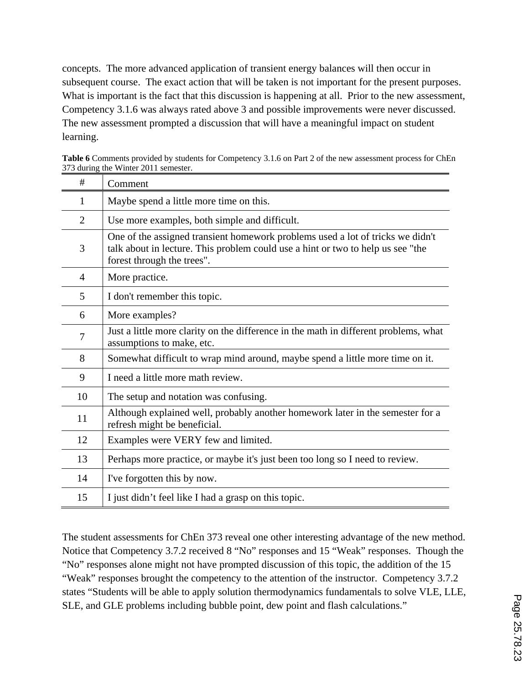concepts. The more advanced application of transient energy balances will then occur in subsequent course. The exact action that will be taken is not important for the present purposes. What is important is the fact that this discussion is happening at all. Prior to the new assessment, Competency 3.1.6 was always rated above 3 and possible improvements were never discussed. The new assessment prompted a discussion that will have a meaningful impact on student learning.

| #  | Comment                                                                                                                                                                                         |
|----|-------------------------------------------------------------------------------------------------------------------------------------------------------------------------------------------------|
| 1  | Maybe spend a little more time on this.                                                                                                                                                         |
| 2  | Use more examples, both simple and difficult.                                                                                                                                                   |
| 3  | One of the assigned transient homework problems used a lot of tricks we didn't<br>talk about in lecture. This problem could use a hint or two to help us see "the<br>forest through the trees". |
| 4  | More practice.                                                                                                                                                                                  |
| 5  | I don't remember this topic.                                                                                                                                                                    |
| 6  | More examples?                                                                                                                                                                                  |
| 7  | Just a little more clarity on the difference in the math in different problems, what<br>assumptions to make, etc.                                                                               |
| 8  | Somewhat difficult to wrap mind around, maybe spend a little more time on it.                                                                                                                   |
| 9  | I need a little more math review.                                                                                                                                                               |
| 10 | The setup and notation was confusing.                                                                                                                                                           |
| 11 | Although explained well, probably another homework later in the semester for a<br>refresh might be beneficial.                                                                                  |
| 12 | Examples were VERY few and limited.                                                                                                                                                             |
| 13 | Perhaps more practice, or maybe it's just been too long so I need to review.                                                                                                                    |
| 14 | I've forgotten this by now.                                                                                                                                                                     |
| 15 | I just didn't feel like I had a grasp on this topic.                                                                                                                                            |

**Table 6** Comments provided by students for Competency 3.1.6 on Part 2 of the new assessment process for ChEn 373 during the Winter 2011 semester.

The student assessments for ChEn 373 reveal one other interesting advantage of the new method. Notice that Competency 3.7.2 received 8 "No" responses and 15 "Weak" responses. Though the "No" responses alone might not have prompted discussion of this topic, the addition of the 15 "Weak" responses brought the competency to the attention of the instructor. Competency 3.7.2 states "Students will be able to apply solution thermodynamics fundamentals to solve VLE, LLE, SLE, and GLE problems including bubble point, dew point and flash calculations."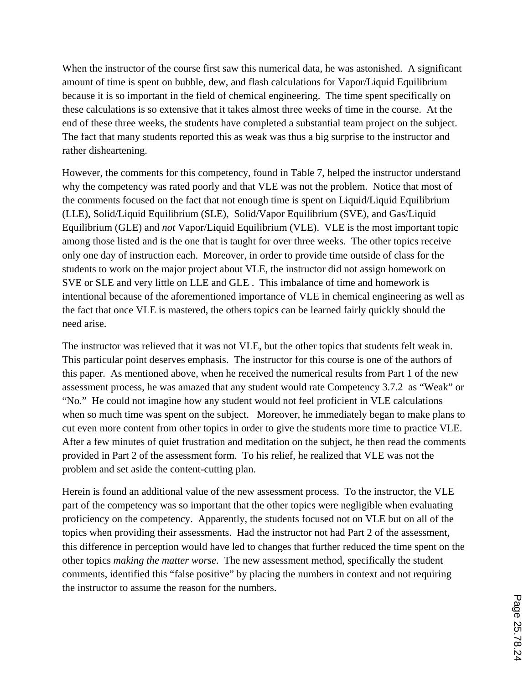When the instructor of the course first saw this numerical data, he was astonished. A significant amount of time is spent on bubble, dew, and flash calculations for Vapor/Liquid Equilibrium because it is so important in the field of chemical engineering. The time spent specifically on these calculations is so extensive that it takes almost three weeks of time in the course. At the end of these three weeks, the students have completed a substantial team project on the subject. The fact that many students reported this as weak was thus a big surprise to the instructor and rather disheartening.

However, the comments for this competency, found in Table 7, helped the instructor understand why the competency was rated poorly and that VLE was not the problem. Notice that most of the comments focused on the fact that not enough time is spent on Liquid/Liquid Equilibrium (LLE), Solid/Liquid Equilibrium (SLE), Solid/Vapor Equilibrium (SVE), and Gas/Liquid Equilibrium (GLE) and *not* Vapor/Liquid Equilibrium (VLE). VLE is the most important topic among those listed and is the one that is taught for over three weeks. The other topics receive only one day of instruction each. Moreover, in order to provide time outside of class for the students to work on the major project about VLE, the instructor did not assign homework on SVE or SLE and very little on LLE and GLE . This imbalance of time and homework is intentional because of the aforementioned importance of VLE in chemical engineering as well as the fact that once VLE is mastered, the others topics can be learned fairly quickly should the need arise.

The instructor was relieved that it was not VLE, but the other topics that students felt weak in. This particular point deserves emphasis. The instructor for this course is one of the authors of this paper. As mentioned above, when he received the numerical results from Part 1 of the new assessment process, he was amazed that any student would rate Competency 3.7.2 as "Weak" or "No." He could not imagine how any student would not feel proficient in VLE calculations when so much time was spent on the subject. Moreover, he immediately began to make plans to cut even more content from other topics in order to give the students more time to practice VLE. After a few minutes of quiet frustration and meditation on the subject, he then read the comments provided in Part 2 of the assessment form. To his relief, he realized that VLE was not the problem and set aside the content-cutting plan.

Herein is found an additional value of the new assessment process. To the instructor, the VLE part of the competency was so important that the other topics were negligible when evaluating proficiency on the competency. Apparently, the students focused not on VLE but on all of the topics when providing their assessments. Had the instructor not had Part 2 of the assessment, this difference in perception would have led to changes that further reduced the time spent on the other topics *making the matter worse*. The new assessment method, specifically the student comments, identified this "false positive" by placing the numbers in context and not requiring the instructor to assume the reason for the numbers.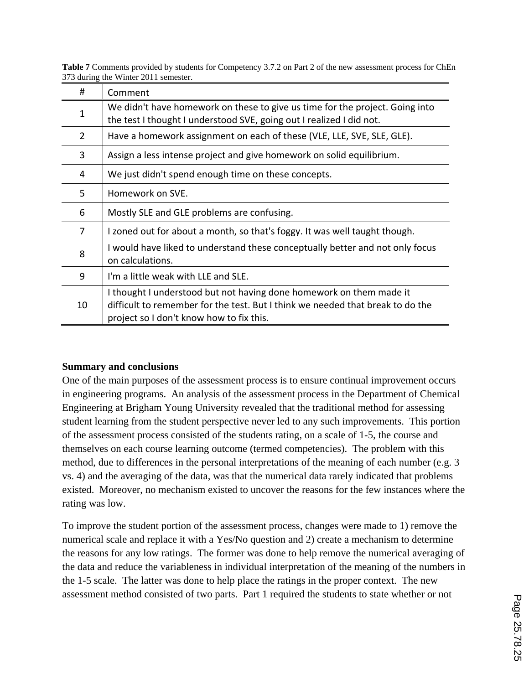| #  | Comment                                                                                                                                                                                           |
|----|---------------------------------------------------------------------------------------------------------------------------------------------------------------------------------------------------|
| 1  | We didn't have homework on these to give us time for the project. Going into<br>the test I thought I understood SVE, going out I realized I did not.                                              |
| 2  | Have a homework assignment on each of these (VLE, LLE, SVE, SLE, GLE).                                                                                                                            |
| 3  | Assign a less intense project and give homework on solid equilibrium.                                                                                                                             |
| 4  | We just didn't spend enough time on these concepts.                                                                                                                                               |
| 5  | Homework on SVE.                                                                                                                                                                                  |
| 6  | Mostly SLE and GLE problems are confusing.                                                                                                                                                        |
| 7  | I zoned out for about a month, so that's foggy. It was well taught though.                                                                                                                        |
| 8  | I would have liked to understand these conceptually better and not only focus<br>on calculations.                                                                                                 |
| 9  | I'm a little weak with LLE and SLE.                                                                                                                                                               |
| 10 | I thought I understood but not having done homework on them made it<br>difficult to remember for the test. But I think we needed that break to do the<br>project so I don't know how to fix this. |

**Table 7** Comments provided by students for Competency 3.7.2 on Part 2 of the new assessment process for ChEn 373 during the Winter 2011 semester.

### **Summary and conclusions**

One of the main purposes of the assessment process is to ensure continual improvement occurs in engineering programs. An analysis of the assessment process in the Department of Chemical Engineering at Brigham Young University revealed that the traditional method for assessing student learning from the student perspective never led to any such improvements. This portion of the assessment process consisted of the students rating, on a scale of 1-5, the course and themselves on each course learning outcome (termed competencies). The problem with this method, due to differences in the personal interpretations of the meaning of each number (e.g. 3 vs. 4) and the averaging of the data, was that the numerical data rarely indicated that problems existed. Moreover, no mechanism existed to uncover the reasons for the few instances where the rating was low.

To improve the student portion of the assessment process, changes were made to 1) remove the numerical scale and replace it with a Yes/No question and 2) create a mechanism to determine the reasons for any low ratings. The former was done to help remove the numerical averaging of the data and reduce the variableness in individual interpretation of the meaning of the numbers in the 1-5 scale. The latter was done to help place the ratings in the proper context. The new assessment method consisted of two parts. Part 1 required the students to state whether or not